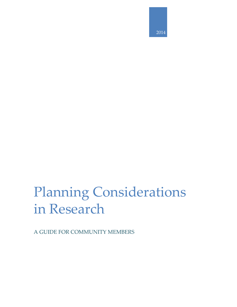

# Planning Considerations in Research

A GUIDE FOR COMMUNITY MEMBERS